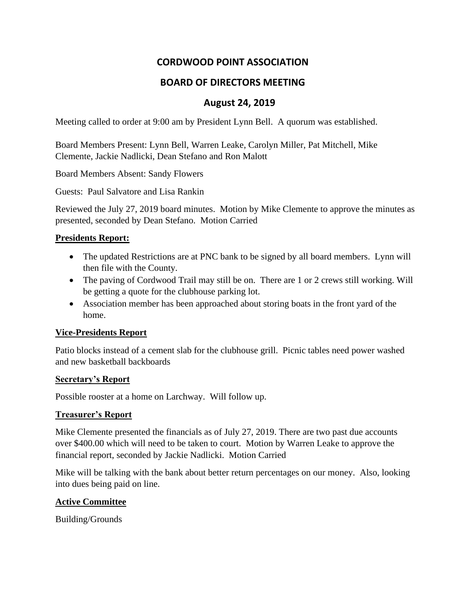# **CORDWOOD POINT ASSOCIATION**

## **BOARD OF DIRECTORS MEETING**

## **August 24, 2019**

Meeting called to order at 9:00 am by President Lynn Bell. A quorum was established.

Board Members Present: Lynn Bell, Warren Leake, Carolyn Miller, Pat Mitchell, Mike Clemente, Jackie Nadlicki, Dean Stefano and Ron Malott

Board Members Absent: Sandy Flowers

Guests: Paul Salvatore and Lisa Rankin

Reviewed the July 27, 2019 board minutes. Motion by Mike Clemente to approve the minutes as presented, seconded by Dean Stefano. Motion Carried

#### **Presidents Report:**

- The updated Restrictions are at PNC bank to be signed by all board members. Lynn will then file with the County.
- The paving of Cordwood Trail may still be on. There are 1 or 2 crews still working. Will be getting a quote for the clubhouse parking lot.
- Association member has been approached about storing boats in the front yard of the home.

### **Vice-Presidents Report**

Patio blocks instead of a cement slab for the clubhouse grill. Picnic tables need power washed and new basketball backboards

#### **Secretary's Report**

Possible rooster at a home on Larchway. Will follow up.

#### **Treasurer's Report**

Mike Clemente presented the financials as of July 27, 2019. There are two past due accounts over \$400.00 which will need to be taken to court. Motion by Warren Leake to approve the financial report, seconded by Jackie Nadlicki. Motion Carried

Mike will be talking with the bank about better return percentages on our money. Also, looking into dues being paid on line.

### **Active Committee**

Building/Grounds